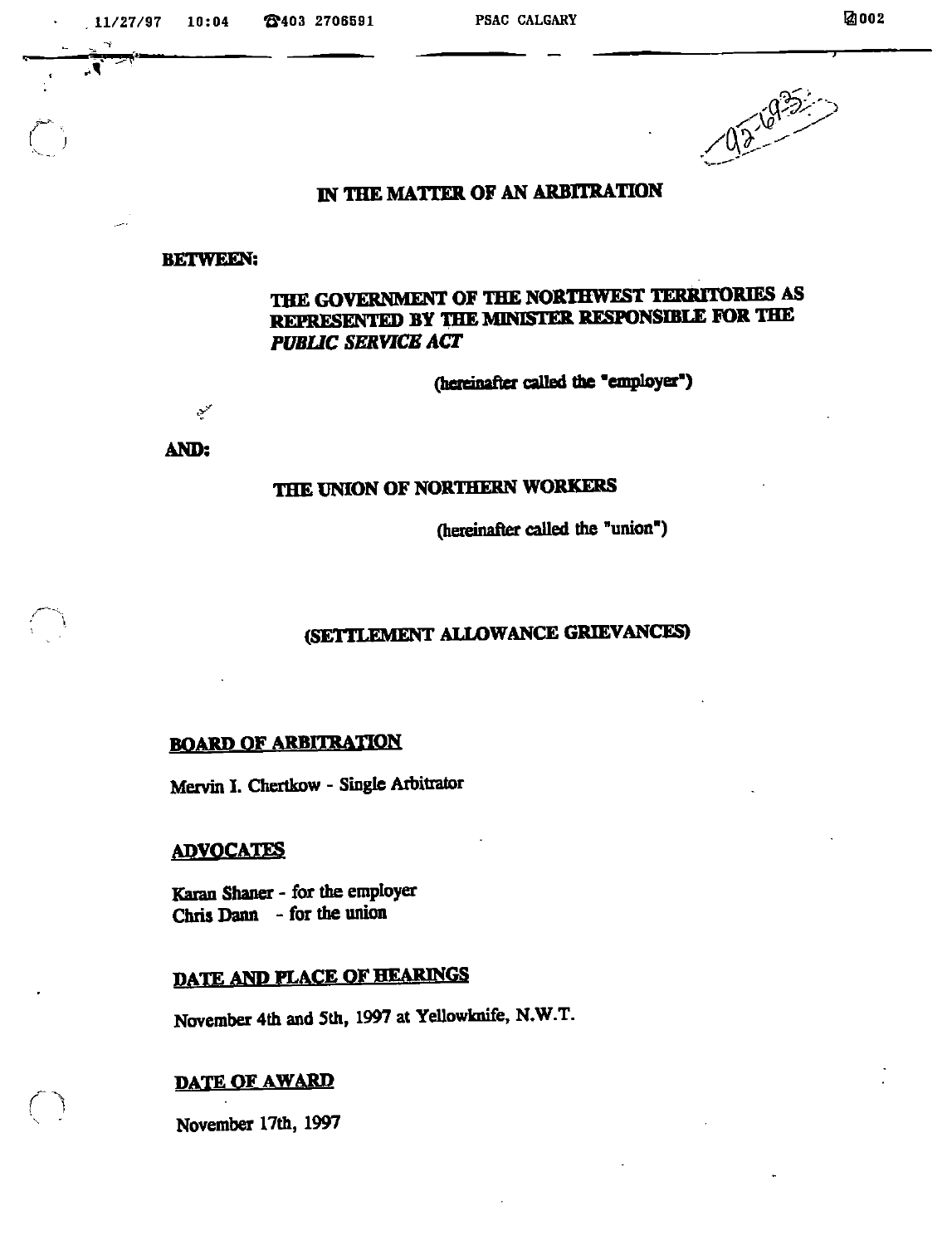$11/27/97$  10:04  $\bullet$  2403 2706591 PSAC CALGARY PSAC CONGRES

1. —



## IN THE MATTER OF AN ARBITRATIQN

#### BETWEEN:

# the government of the northwest territories AS represented by theminister responsible for the PUBLIC SERVICE ACT

(hereinafter called the "employer")

AND:

محمين

## THE UNION OF NORTHERN WORKERS

(hereinafter called the "union")

## (SETTLEMENT ALLOWANCE GRIEVANCES)

# **BOARD OF ARBITRATION**

Mervin I. Chertkow - Single Arbitrator

#### ADVOCATES

Karan Shaner - for the employer Chris Dann - for the union

# DATE AND PLACE OF HEARINGS

November 4th and 5th, 1997 at YeUowknife, N.W.T.

#### DATE OF AWARD

November 17th, 1997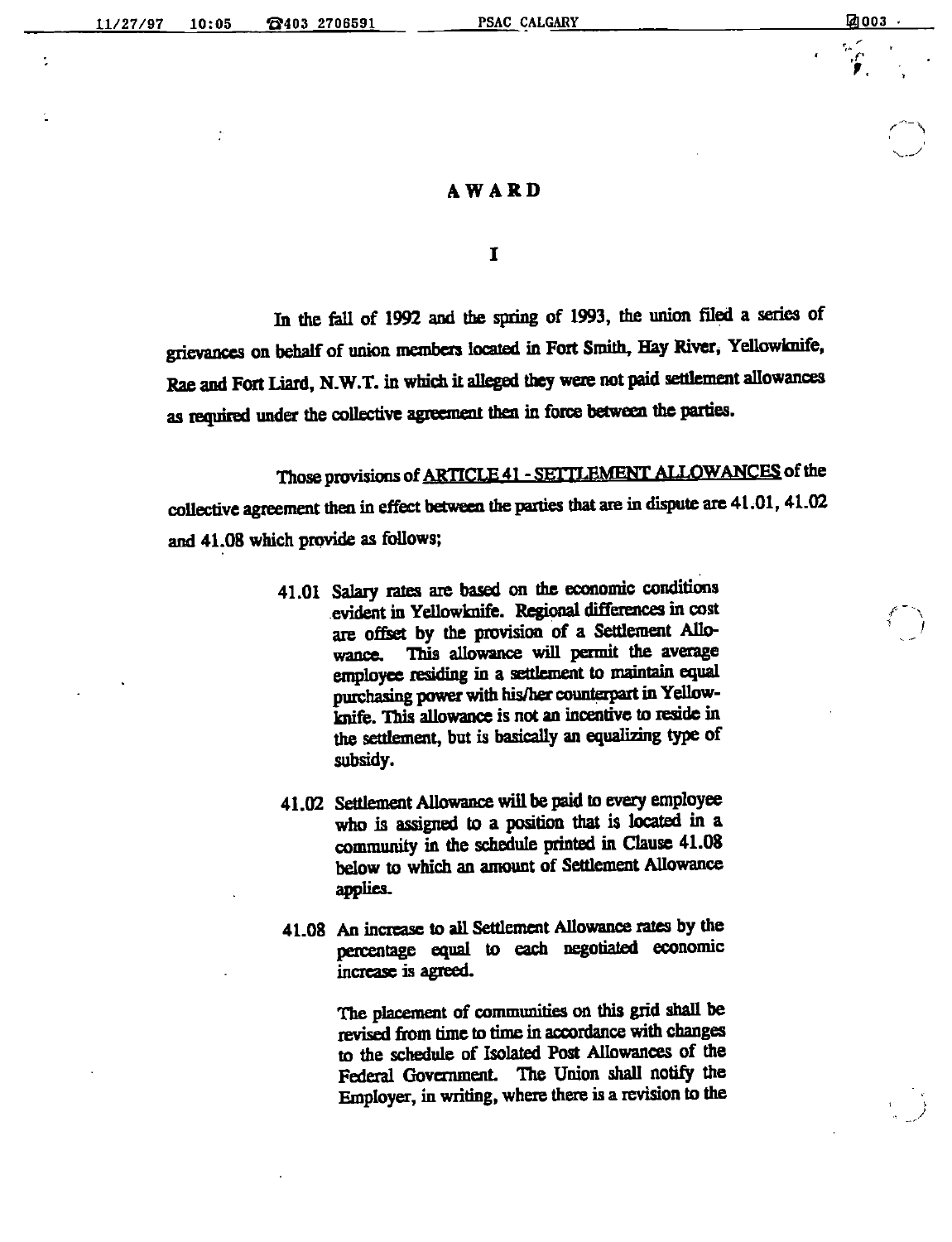$\ddot{\phantom{a}}$ 

 $\mathbb{C}$ f.

#### AWARD

 $\mathbf I$ 

In the fell of 1992 and the spring of 1993, the union filed a series of grievances on behalf of union members located in Fort Smith, Hay River, Yellowknife, Rae and Fort Liard, N.W.T. in which it alleged they were not paid settlement allowances as required under the collective agreement then in force between the parties.

Those provisions of ARTICLE 41 - SETTLEMENT ALLOWANCES of the collective agreement then in effect between the parties that are in dispute are 41.01, 41.02 and 41.08 which provide as follows;

- 41.01 Salary rates are based on die economic conditions evident in Yellowknife. Regional differences in cost are offset by the provision of a Settlement Allo-<br>wance. This allowance will permit the average wance. This allowance will permit the average employee residing in a settlement to maintain equal purchasing power with his/her counterpart in Yellowknife. This allowance is not an incentive to reside in the settlement, but is basically an equalizing type of subsidy.
- 41.02 Settlement Allowance will be paid to every employee who is assigned to a position that is located in a community in the schedule printed in Clause 41.08 below to which an amount of Settlement Allowance applies.
- 41.08 An increase to all Settlement Allowance rates by the percentage equal to each negotiated economic increase is agreed.

The placement of communities on this grid shall be revised from time to time in accordance with changes to the schedule of Isolated Post Allowances of the Federal Government. The Union shall notify the Employer, in writing, where there is a revision to the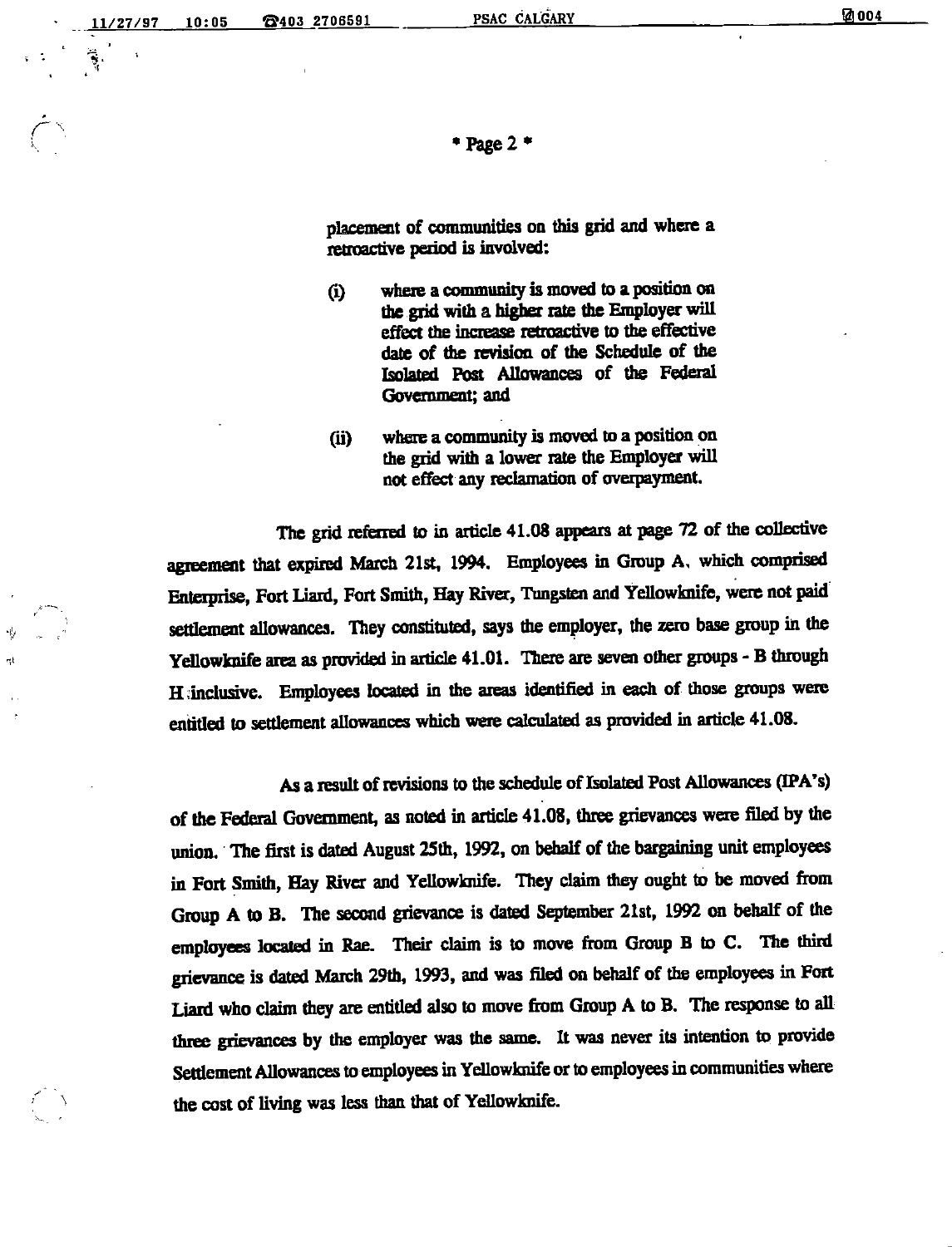$\dot{\subset}$ 

\* Page  $2$  \*

placement of communities on this grid and where a retroactive period is involved:

- (i) where a community is moved to a position on the grid with a higher rate the Employer will effect the increase retroactive to the effective date of die revision of the Schedule of the Isolated Post Allowances of the Federal Government; and
- (ii) where a community is moved to a position on the grid with a lower rate the Employer will not effect any reclamation of overpayment.

The grid referred to in article 41.08 appears at page 72 of the collective agreement that expired March 21st, 1994. Employees in Group A. which comprised Enterprise, Fort Liard, Fort Smith, Hay River, Tungsten and Yellowknife, were not paid settlement allowances. They constituted, says the employer, the zero base group in the Yellowknife area as provided in article 41.01. There are seven other groups - B through H;inclusive. Employees located in the areas identified in each of those groups were entitled to settlement allowances which were calculated as provided in article 41.08.

As a result of revisions to the schedule of Isolated Post Allowances (IPA's) of the Federal Government, as noted in article 41.08, three grievances were filed by the union. The first is dated August 25th, 1992, on behalf of the bargaining unit employees in Fort Smith, Hay River and YeUowknife. They claim they ought to be moved from Group A to B. The second grievance is dated September 21st, 1992 on behalf of the employees located in Rae. Their claim is to move from Group B to C. The third grievance is dated March 29th, 1993, and was filed on behalf of the employees in Fort Liard who claim they are entitled also to move from Group A to B. The response to all three grievances by the employer was the same. It was never its intention to provide Settlement Allowances to employees in Yellowknife or to employees in communities where the cost of living was less than that of Yellowknife.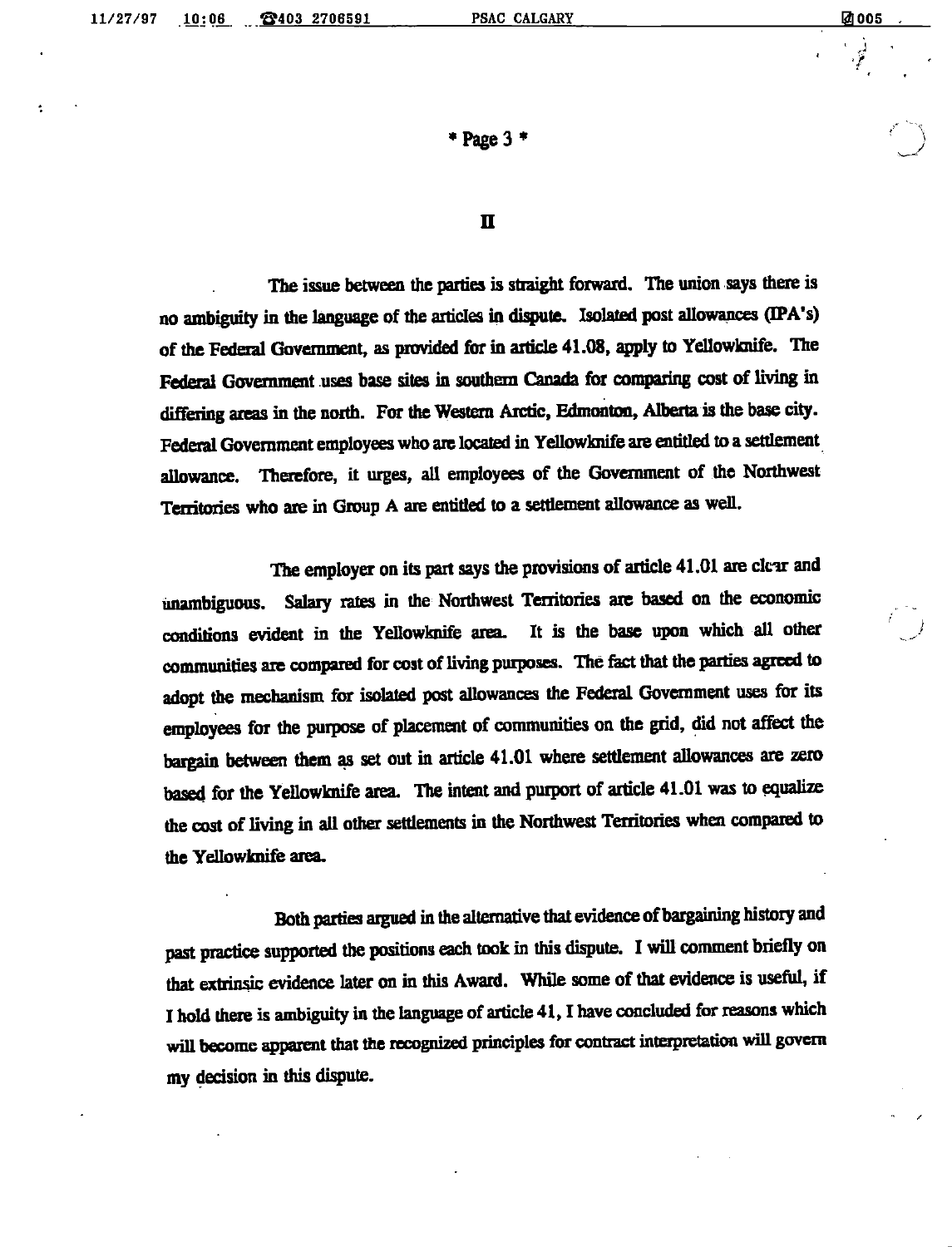$*$  Page 3 $*$ 

#### n

The issue between the parties is straight forward. The union says there is no ambiguity in the language of the articles in dispute. Isolated post allowances (IPA's) of the Federal Government, as provided for in article 41.08, apply to Yellowknife. The Federal Government uses base sites in southern Canada for comparing cost of living in differing areas in the north. For the Western Arctic, Edmonton, Alberta is the base city. Federal Government employees who are located in Yellowknife are entitled to a settlement allowance. Therefore, it urges, all employees of the Government of the Northwest Territories who are in Group A are entitled to a settlement allowance as well.

The employer on its part says the provisions of article 41.01 are clear and unambiguous. Salary rates in the Northwest Territories axe baaed on the economic conditions evident in the Yellowknife area. It is the base upon which all other communities are compared for cost of living purposes. The fact that the parties agreed to adopt the mechanism for isolated post allowances the Federal Government uses for its employees for the purpose of placement of communities on the grid, did not affect the bargain between them as set out in article 41.01 where settlement allowances are zero based for the Yellowknife area. The intent and purport of article 41.01 was to equalize the cost of living in all other settlements in the Northwest Territories when compared to the Yellowknife area.

Both parties argued in the alternative that evidence of bargaining history and past practice supported the positions each took in this dispute. I will comment briefly on that extrinsic evidence later on in this Award. While some of that evidence is useful, if I hold there is ambiguity in the language of article 41, I have concluded for reasons which will become apparent that the recognized principles for contract interpretation will govern my decision in this dispute.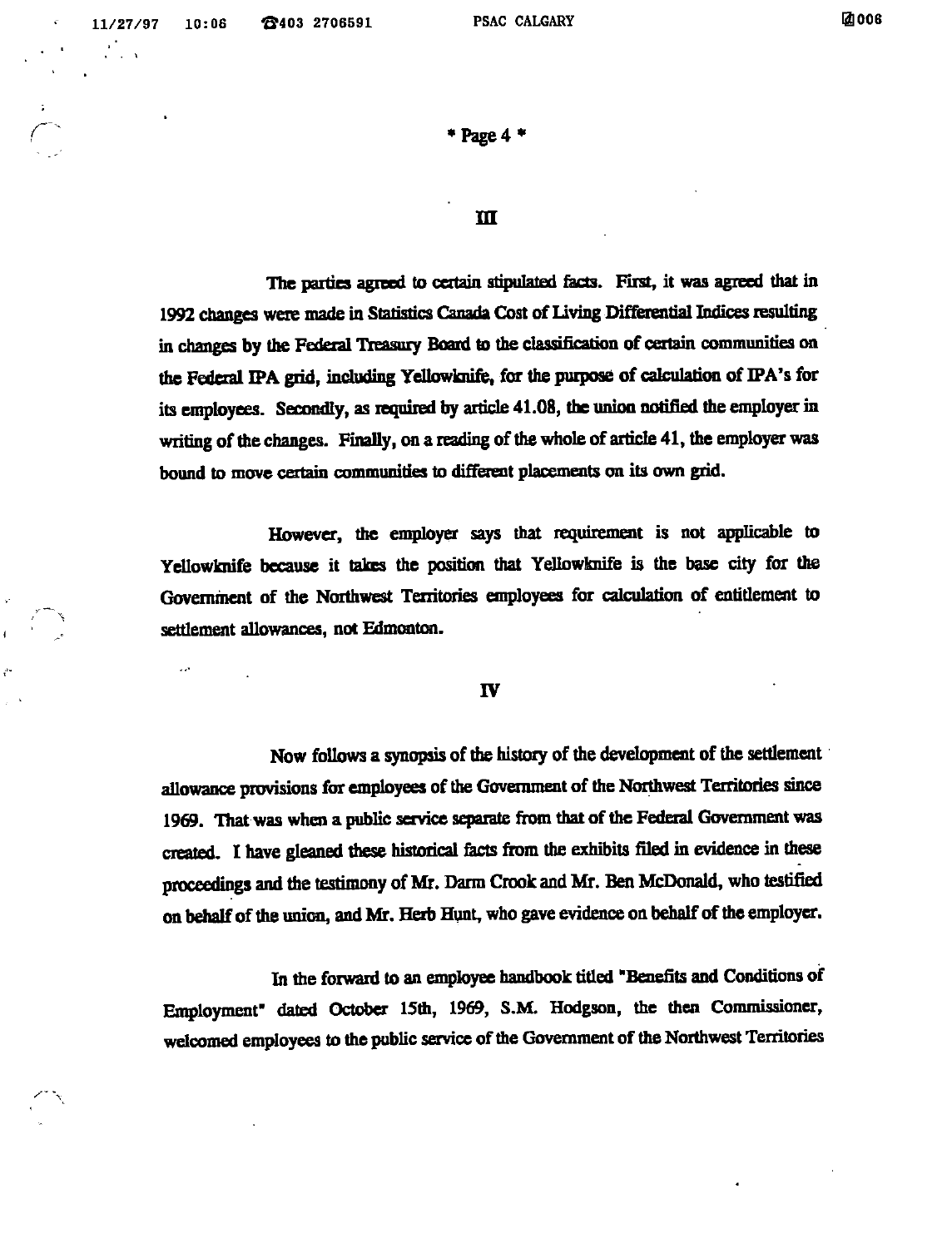$\mathbf{A}$ 

r

 $\frac{1}{2}$  . The  $\frac{1}{2}$ 

 $\tilde{\phantom{1}}$ 

 $*$  Page 4 $*$ 

#### m

The parties agreed to certain stipulated facts. First, it was agreed that in 1992 changes were made in Statistics Canada Cost of Living Differential Indices resulting in changes by the Federal Treasury Board to the classification of certain communities on the Federal IPA grid, including Yellowknife, for the purpose of calculation of IPA's for its employees. Secondly, as required by article 41.08, the union notified the employer in writing of the changes. Finally, on a reading of the whole of article 41, the employer was bound to move certain communities to different placements on its own grid.

However, the employer says that requirement is not applicable to Yellowknife because it takes the position that Ydlowknife is the base city for the Government of the Northwest Territories employees for calculation of entitlement to settlement allowances, not Edmonton.

#### IV

Now follows a synopsis of the history of the development of the settlement allowance provisions for employees of the Government of the Northwest Territories since 1969. That was when a public service separate from that of the Federal Government was created. I have gleaned these historical facts from the exhibits filed in evidence in these proceedings and the testimony of Mr. Darm Crook and Mr. Ben McDonald, who testified on behalf of the union, and Mr. Herb Hunt, who gave evidence on behalf of the employer.

In the forward to an employee handbook titled "Benefits and Conditions of Employment" dated October 15th, 1969, S.M. Hodgson, the then Commissioner, welcomed employees to the public service of the Government of the Northwest Territories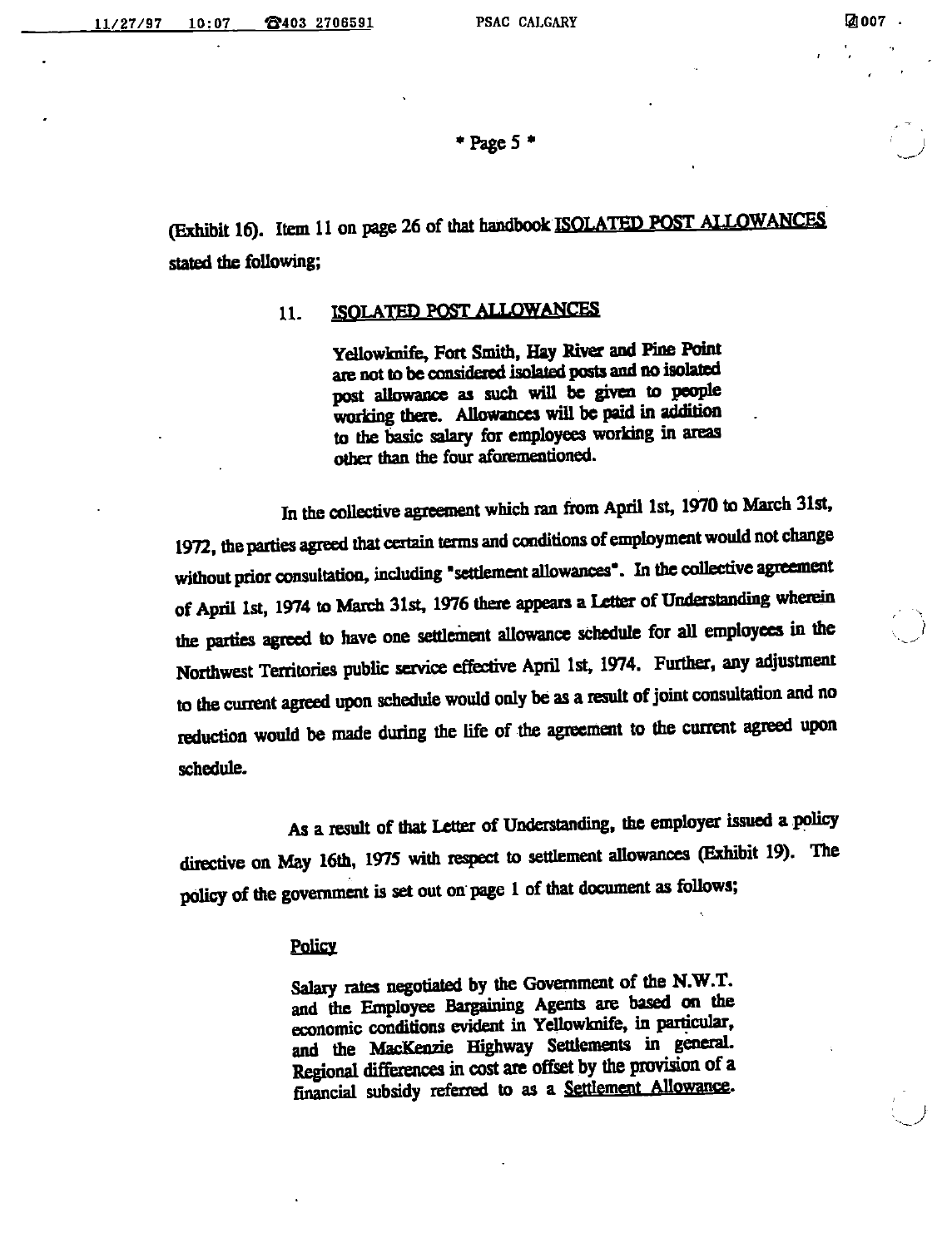/

\*Pagc5 \*

(Exhibit 16). Item 11 on page 26 of that handbook ISOLATED POST ALLOWANCES stated the following;

### 11. ISOLATED POST ALLOWANCES

Yellowknife, Fort Smith, Hay River and Pine Point are not to be considered isolated posts and no isolated post allowance as such wiU be given to people working there. Allowances will be paid in addition to the basic salary for employees working in areas other than the four aforementioned.

In the collective agreement which ran from April 1st, 1970 to March 31st, 1972, the parties agreed that certain terms and conditions of employment would not change without prior consultation, including "settlement allowances". In the collective agreement of April 1st, 1974 to March 31st, 1976 there appears a Letter of Understanding wherein the parties agreed to have one settlement allowance schedule for all employees in the Northwest Territories public service effective April 1st, 1974. Further, any adjustment to the current agreed upon schedule would only be as a result of joint consultation and no reduction would be made during the life of the agreement to the current agreed upon schedule.

As a result of that Letter of Understanding, the employer issued a policy directive on May 16th, 1975 with respect to settlement allowances (Exhibit 19). The policy of the government is set out on page 1 of that document as follows;

#### **Policy**

Salary rates negotiated by the Government of the N.W.T. and the Employee Bargaining Agents are based on the economic conditions evident in Yellowknife, in particular, and the MacKenzie Highway Settlements in general. Regional differences in cost are offset by the provision of a financial subsidy referred to as a Settlement Allowance.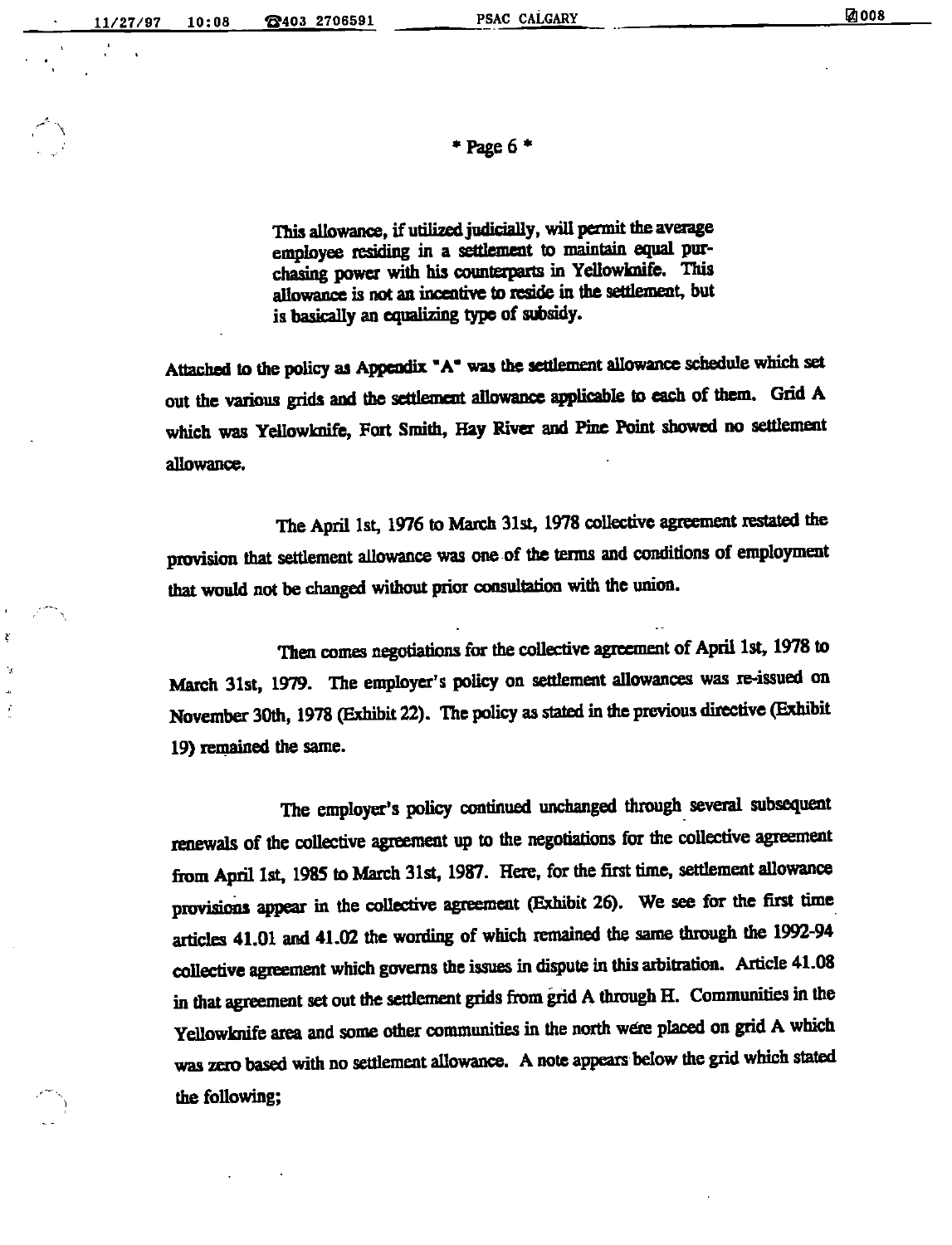$*$  Page 6  $*$ 

This allowance, if utilized judicially, will permit the average employee residing in a settlement to maintain equal purchasing power with his counterparts in Yellowknife. This allowance is not an incentive to reside in the settlement, but is basically an equalizing type of subsidy.

Attached to the policy as Appendix "A" was the settlement allowance schedule which set out the various grids and the settlement allowance applicable to each of them. Grid A which was Yellowknife, Fort Smith, Hay River and Pine Point showed no settlement allowance.

The April 1st, 1976 to March 31st, 1978 collective agreement restated the provision that settlement allowance was one of the terms and conditions of employment that would not be changed without prior consultation with the union.

Then comes negotiations for the collective agreement of April 1st, 1978 to March 31st, 1979. The employer's policy on settlement allowances was re-issued on November 30th, 1978 (Exhibit 22). The policy as stated in the previous directive (Exhibit 19) remained the same.

The employer's policy omtinued unchanged through several subsequent renewals of the collective agreement up to the negotiations for the collective agreement from April 1st, 1985 to March 31st, 1987. Here, for the first time, settlement allowance provisions appear in the collective agreement (Exhibit 26). We see for the first time articles 41.01 and 41.02 the wording of which remained the same through the 1992-94 collective agreement which governs the issues in dispute in this arbitration. Article 41.08 in that agreement set out the settlement grids from grid Athrough H. Communities in the Yellowknife area and some other communities in the north were placed on grid A which was zero based with no settlement allowance. Anote appears below the grid which stated the following;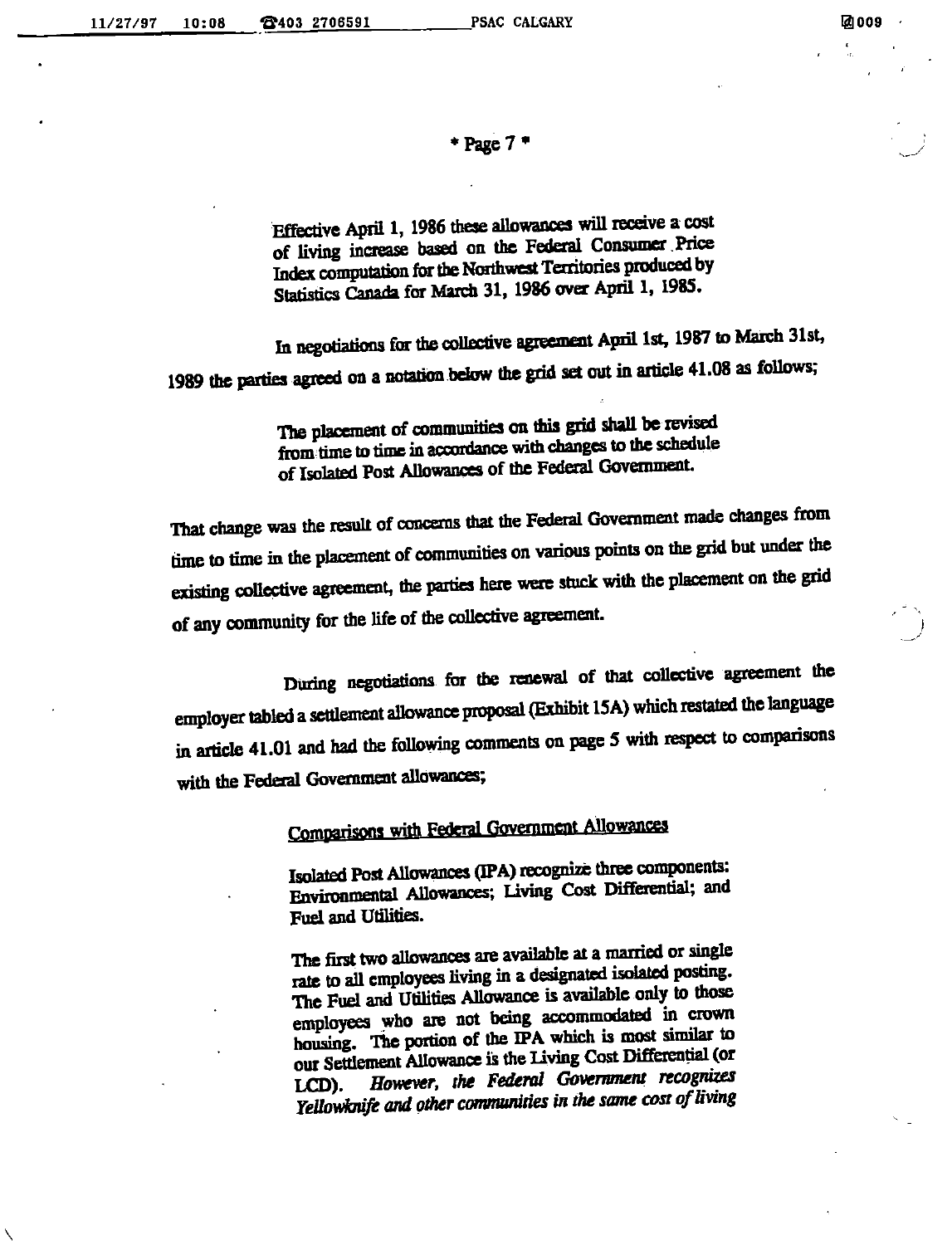Page7\*

Effective April 1, 1986 these allowances will receive a cost of living increase based on the Federal Consumer Price<br>Index computation for the Northwest Territories produced by Statistics Canada for March 31, 1986 over April 1, 1985.

In negotiations for the collective agreement April 1st, 1987 to March 31st, 1989 the parties agreed on a notation below the grid set out in article 41.08 as follows;

> The placement of communities on this grid shall be revised from time to time in accordance with changes to the schedule of Isolated Post Allowances of the Federal Government.

That change was the result of concerns that the Federal Government made changes from<br>time to time in the placement of communities on various points on the grid but under the existing collective agreement, the patties heie were stuck with the placement on the grid of any community for the life of the collective agreement.

During negotiations for the renewal of that collective agreement the employer tabled a settlement allowance proposal (Exhibit 15A) which restated the language in article 41.01 and had the following comments on page 5 with respect to comparisons with the Federal Government allowances;

Comparisons with Federal Government Allowances

Isolated Post Allowances (IPA) recognire three components: Environmental Allowances; Uving Cost Mferential; and Fuel and Utilities.

The first two allowances are available at a married or single rate to all employees living in a designated isolated posting.<br>The Fuel and Utilities Allowance is available only to those employees who are not being accommodated in crown housing. The portion of the IPA which is most similar to our Settlement Allowance is the Living Cost Differential (or LCD). However, the Federal Government recognizes LCD). However, the Federal Government recognizes<br>Yellowknife and other communities in the same cost of living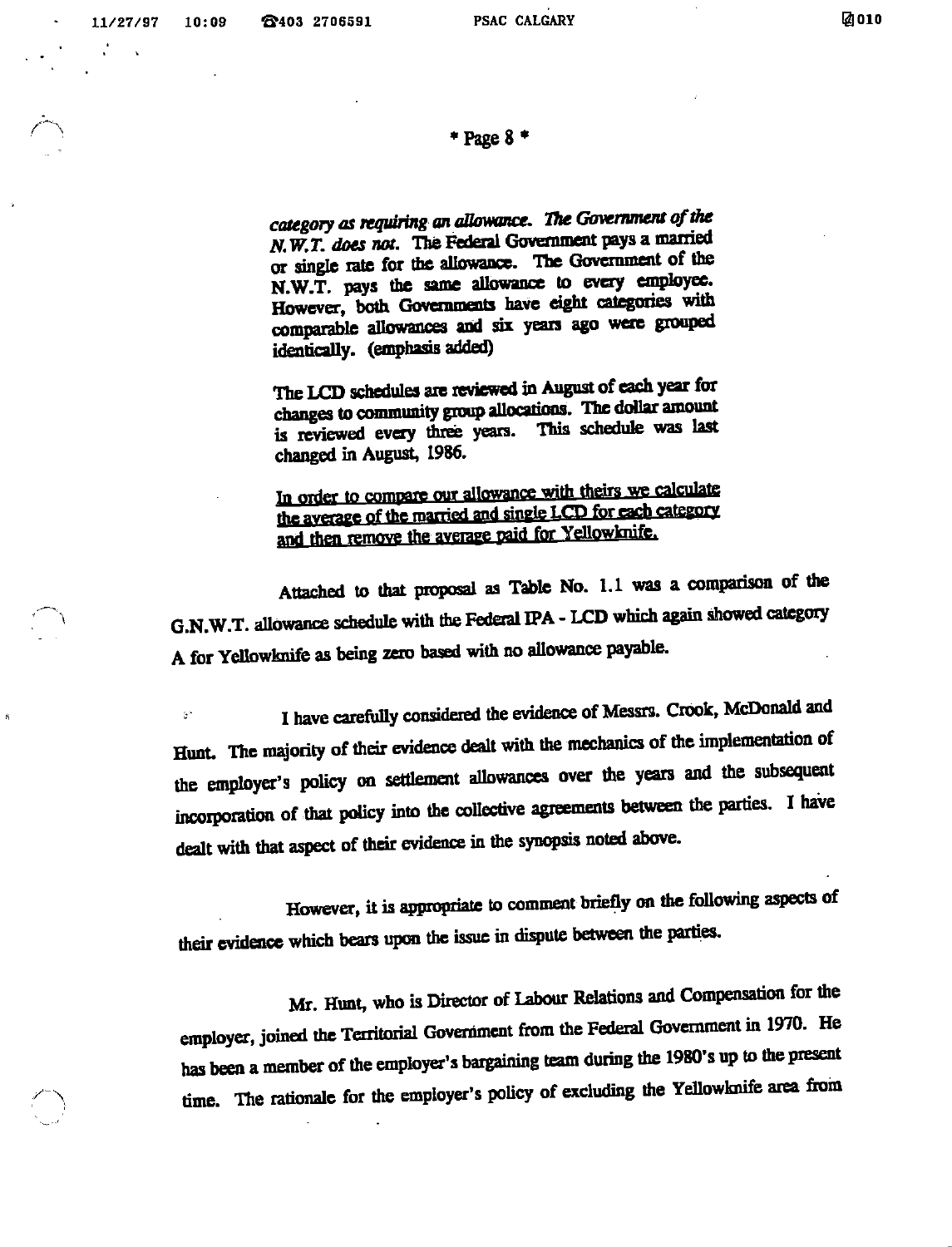#### $*$  Page  $8*$

category as requiring an allowance. The Government of the<br>N,W,T. does not. The Federal Government pays a married or single rate for the allowance. The Govenunent of the  $N.W.\bar{T}$ . pays the same allowance to every employee. However, both Governments have eight categories with comparable allowances and six years ago were grouped identically. (emphasis added)

The LCD schedules are reviewed in August of each year for changes to community group allocations. The dollar amount is reviewed every three years. This schedule was last changed in August, 1986.

In order to compare our allowance with theirs we calculate<br>the average of the married and single LCD for each category and then remove the average paid for Yellowknife.

Attached to that proposal as Table No. 1.1 was a comparison of the G.N.W.T. allowance schedule with the Federal IPA - LCD which again showed category A for Yellowknife as being zero based with no allowance payable.

I have carefully considered the evidence of Messrs. Crook, McDonald and  $\hat{z}^{\mu}$ Hunt. The majority of their evidence dealt with the mechanics of the implementation of the employer's policy on settlement allowances over the years and the subsequent incorporation of that policy into the collective agreements between the parties. I have dealt with that aspect of their evidence in the synopsis noted above.

However, it is appropriate to comment briefly on the following aspects of their evidence which bears upon the issue in dispute between the parties.

Mr. Hunt, who is Director of Labour Relations and Compensation for the enqiloycr, joined the Territorial Goveniment from the Federal Government in 1970. He has been a member of the employer's bargaining team during the 1980's up to the present time. The rationale for the employer's policy of excluding the Yellowknife area from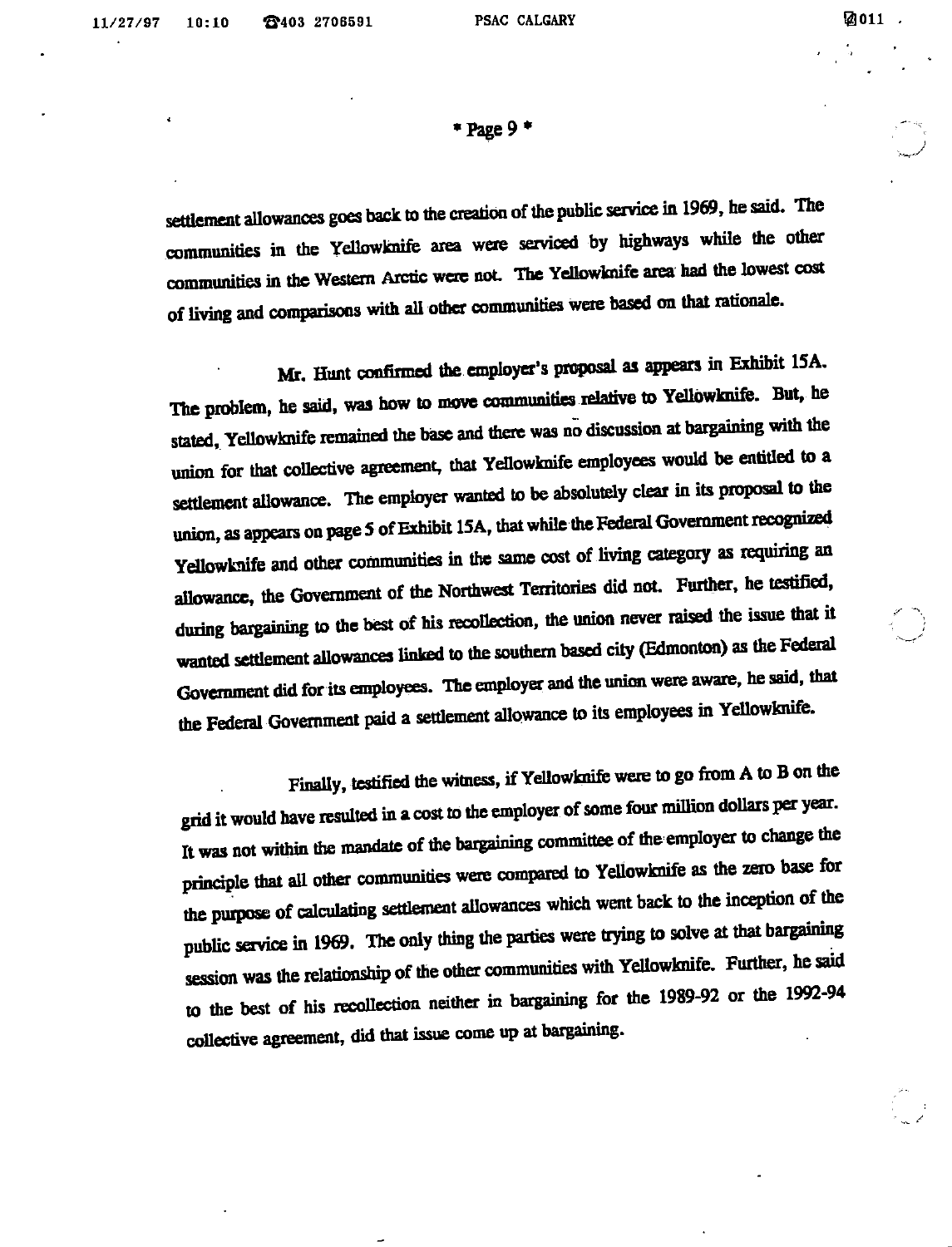$*$  Page 9 $*$ 

settlement allowances goes back to the creation of the public service in 1969, he said. The communities in the Yellowknife area were serviced by highways while the other communities in the Western Arctic were not The Yellowknife area had the lowest cost of living and comparisons with all other communities were based on that rationale.

Mr. Hunt confirmed the employer's proposal as appears in Exhibit ISA. The problem, he said, was how to move communities relative to Yellowknife. But, he stated. Yellowknife remained the base and there was no discussion at bargaining with the union for that collective agreement, that Yellowknife employees would be entitled to a settlement allowance. The employer wanted to be absolutely clear in its proposal to the union, as appears on page 5 of Exhibit 15A, that while the Federal Government recognized Yellowknife and other communities in the same cost of living category as requiring an allowance, the Government of the Northwest Tenitories did not. Further, he testified, during bargaining to the best of his recollection, the union never raised the issue that it wanted settlement allowances linked to the southern based city (Edmonton) as the Federal Government did for its employees. The employer and the union were aware, he said, that the Federal Government paid a settlement allowance to its employees in Yellowknife.

Finally, testified the witness, if Yellowknife were to go from A to B on the grid it would have resulted in a cost to the employer of some four million dollars per year. It was not within the mandate of the bargaining committee of the employer to change the principle that all other communities were compared to Yellowknife as the zero base for the purpose of calculating settlement allowances which went back to the inception of the public service in 1969. The only thing the parties were trying to solve at that bargaining session was the relationship of the other communities with Yellowknife. Further, he said to the best of his recollection neither in bargaining for the 1989-92 or the 1992-94 collective agreement, did that issue come up at bargaining.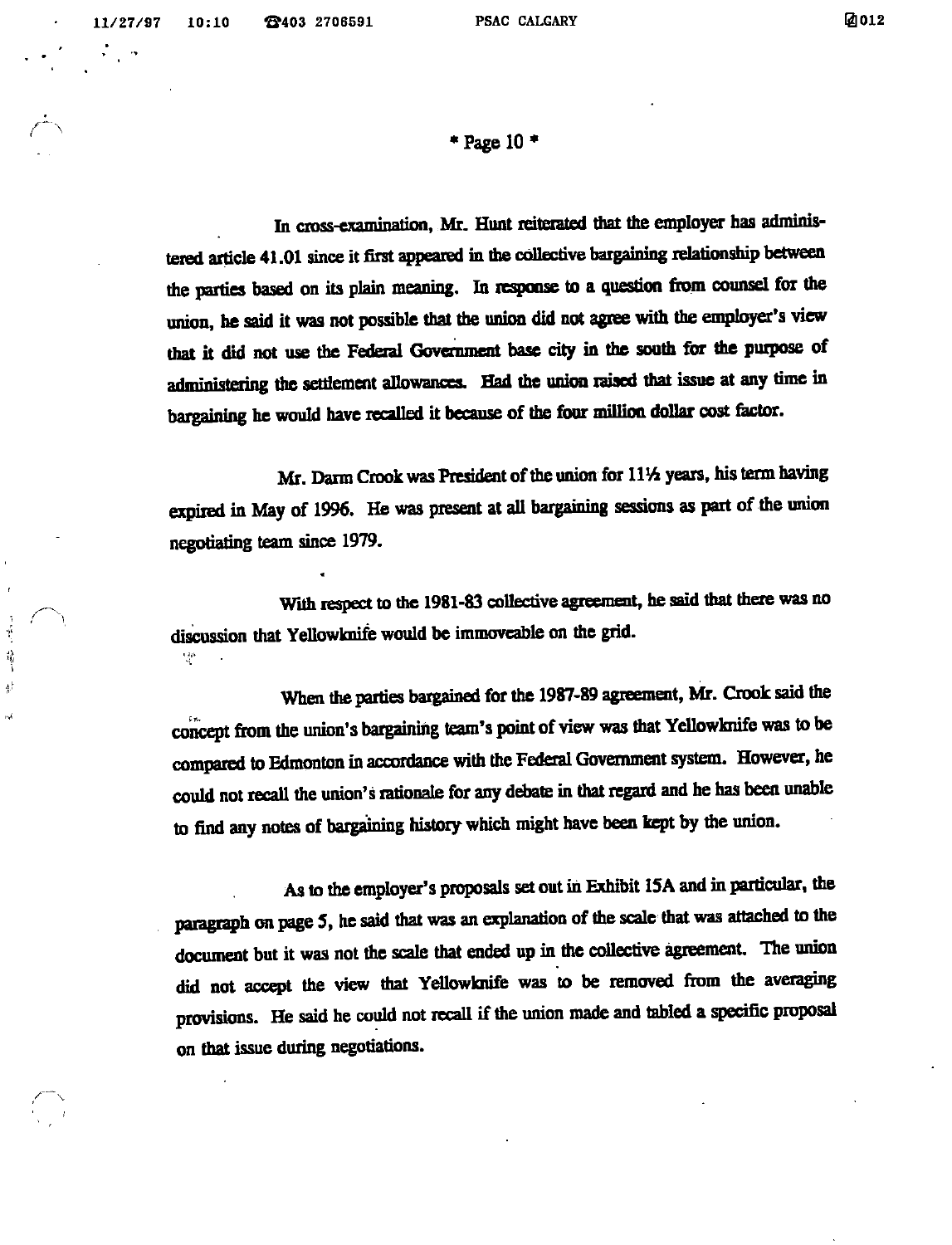$\curvearrowleft$ 

 $\mathbf{r}$ 

碁

\* Page 10  $*$ 

In cross-examination, Mr. Hunt reiterated that the employer has administered article 41.01 since it first appeared in the collective bargaining relationship between the parties based on its plain meaning. In response to a question from counsel for the union, he said it was not possible that the union did not agree with the employer's view that it did not use the Federal Govcnunent base city in the south for the purpose of administering the settlement allowances. Had the union raised that issue at any time in bargaining he would have recalled it because of the four million dollar cost factor.

Mr. Darm Crook was President of the union for 11½ years, his term having expired in May of 1996. He was present at aU bargaining sessions as part of the union negotiating team since 1979.

With respect to the 1981-83 collective agreement, he said that there was no discussion that YeUowknife would be immoveable on the grid.  $\mathcal{A}^{\mu}$ 

When the parties bargained for the 1987-89 agreement, Mr. Crook said the concept from the union's bargaining team's point of view was that Yellowknife was to be compared to Edmonton in accordance with the Federal Gavemment system. However, he could not recall the union's rationale for any debate in that regard and he has been unable to find any notes of bargaining history which might have been kept by die union.

As to the employer's proposals set out in Exhibit ISA and inparticular, the paragraph on page 5, he said that was an explanation of the scale that was attached to the document but it was not the scale that ended up in the collective agreement. The union did not accept the view that Yellowknife was to be removed from the averaging provisions. He said he could not recall if the union made and tabled a specific proposal on that issue during negotiations.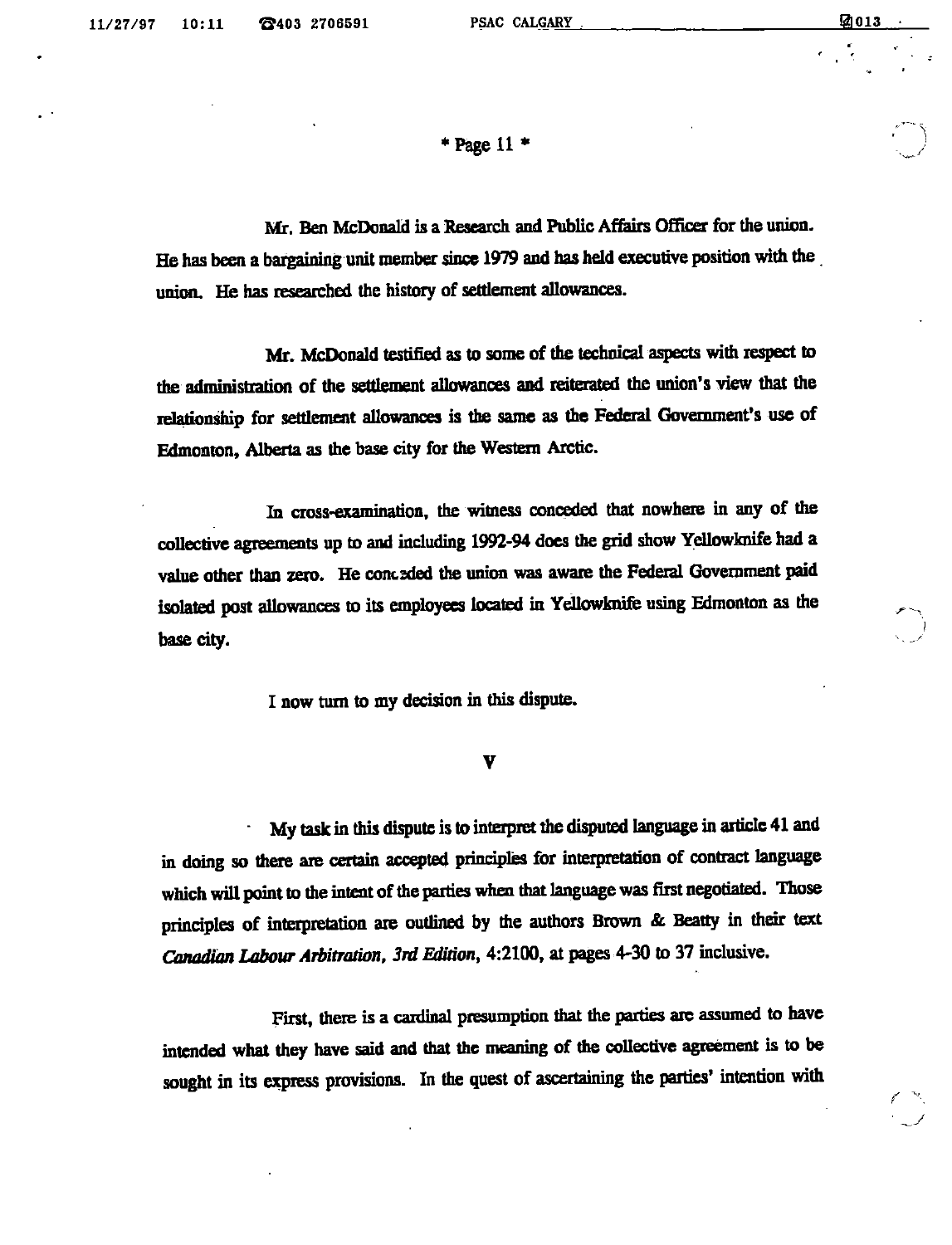y

 $*$  Page 11  $*$ 

Mr. Ben McDonald is a Research and Public Affairs Officer for the union. He has been a bargaining unit member since 1979 and has held executive position with the union. He has researched the history of settlement allowances.

Mr. McDonald testified as to some of the technical aspects with respect to the administration of the settlement allowances and reiterated the union's view that the relationship for settlement allowances is the same as the Federal Government's use of Edmonton, Alberta as the base city for the Western Arctic.

In cross-examination, the witness conceded that nowhere in any of the collective agreements up to and including 1992-94 does the grid show Yellowknife had a value other than zero. He conceded the union was aware the Federal Government paid isolated post allowances to its employees located in Yellowknife using Edmonton as the base city.

I now turn to my deciaon in this dispute.

V

My task in this dispute is to interpret the disputed language in article 41 and in doing so there are certain accepted principles for interpretation of contract language which will point to the intent of the parties when that language was first negotiated. Those principles of interpretation are outlined by the authors Brown & Beatty in their text CanadianLabour Arbitration, 3rd Edition, 4:2100, at pages 4-30 to 37 inclusive.

First, there is a cardinal presumption that the parties are assumed to have intended what they have said and that the meaning of the collective agreement is to be sought in its express provisions. In the quest of ascertaining the parties' intention with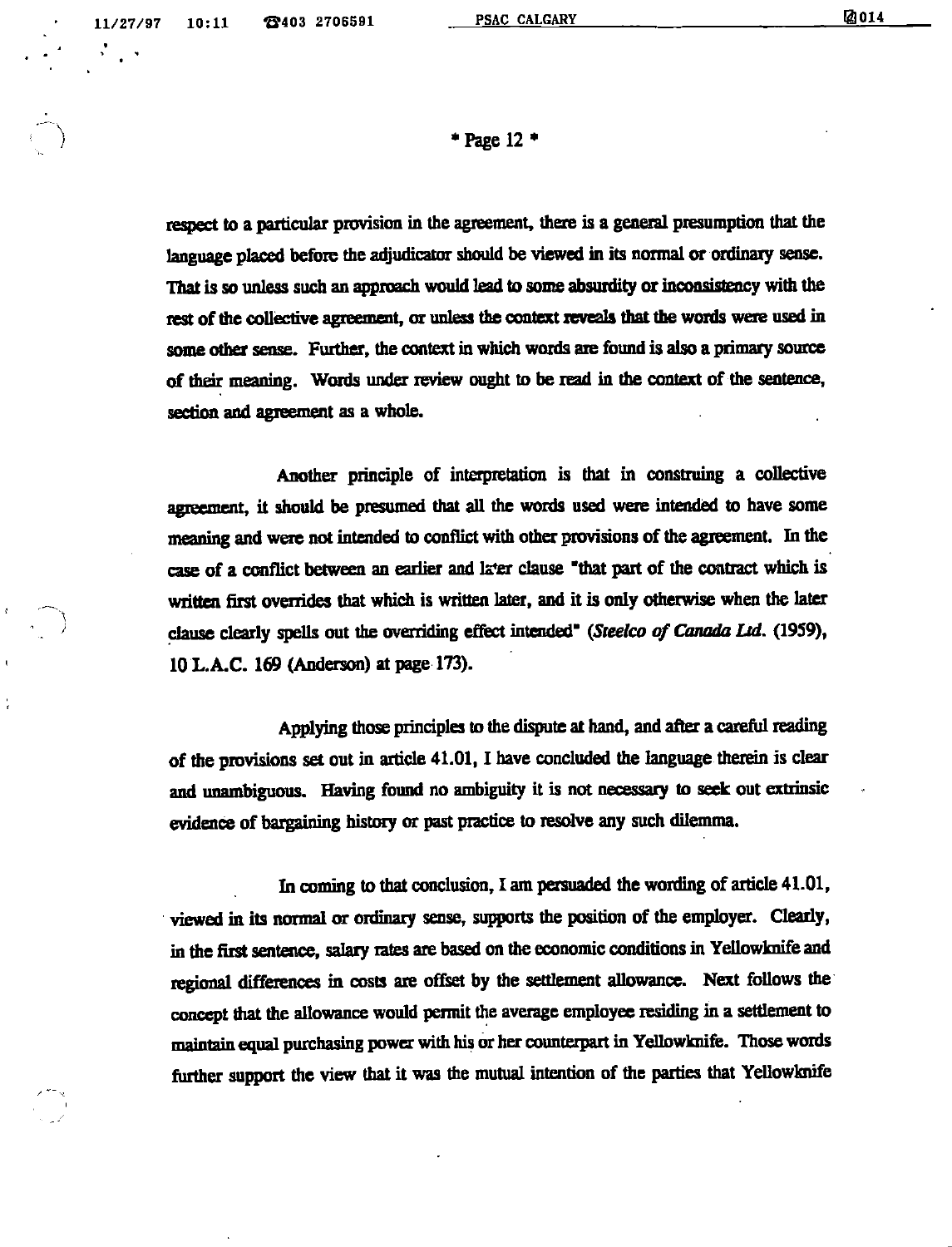\* Page 12 •

respect to a particular provision in the agreement, there is a general presumption that the language placed before the adjudicator should be viewed in its normal or ordinary sense. That is so unless such an approach would lead to some absurdity or inconsistency with the rest of the collective agreement, or unless the context reveals that the words were used in some other sense. Further, the context in which words are found is also a primary source of their meaning. Words under review ought to be read in the context of the sentence, section and agreement as a whole.

Another principle of intetpietation is that in construing a collective agreement, it should be presumed that all the words used were intended to have some meaning and were not intended to conflict with other provisions of the agreement. In the case of a conflict between an earlier and later clause "that part of the contract which is written first overrides that which is written later, and it is only otherwise when the later clause clearly spells out the overriding effect intended" (Steelco of Canada Ltd. (1959), 10 L.A.C. 169 (Anderson) at page 173).

Applying those principles to the dispute at hand, and after a careful reading of the provisions set out in article  $41.01$ , I have concluded the language therein is clear and unambiguous. Having found no ambiguity it is not necessary to seek out extrinsic evidence of bargaining history or past practice to resolve any such dilemma.

In coming to that conclusion, I am persuaded the wording of article  $41.01$ , viewed in its normal or ordinary sense, supports the position of the employer. Clearly, in the first sentence, salary rates are based on the economic conditions in Yellowknife and regional differences in costs are offset by the settlement allowance. Next follows the concept that the allowance would permit the average employee residing in a settlement to maintain equal purchasing power with his or her counterpart in Yellowknife. Those words further support the view that it was the mutual intention of the parties that Yellowknife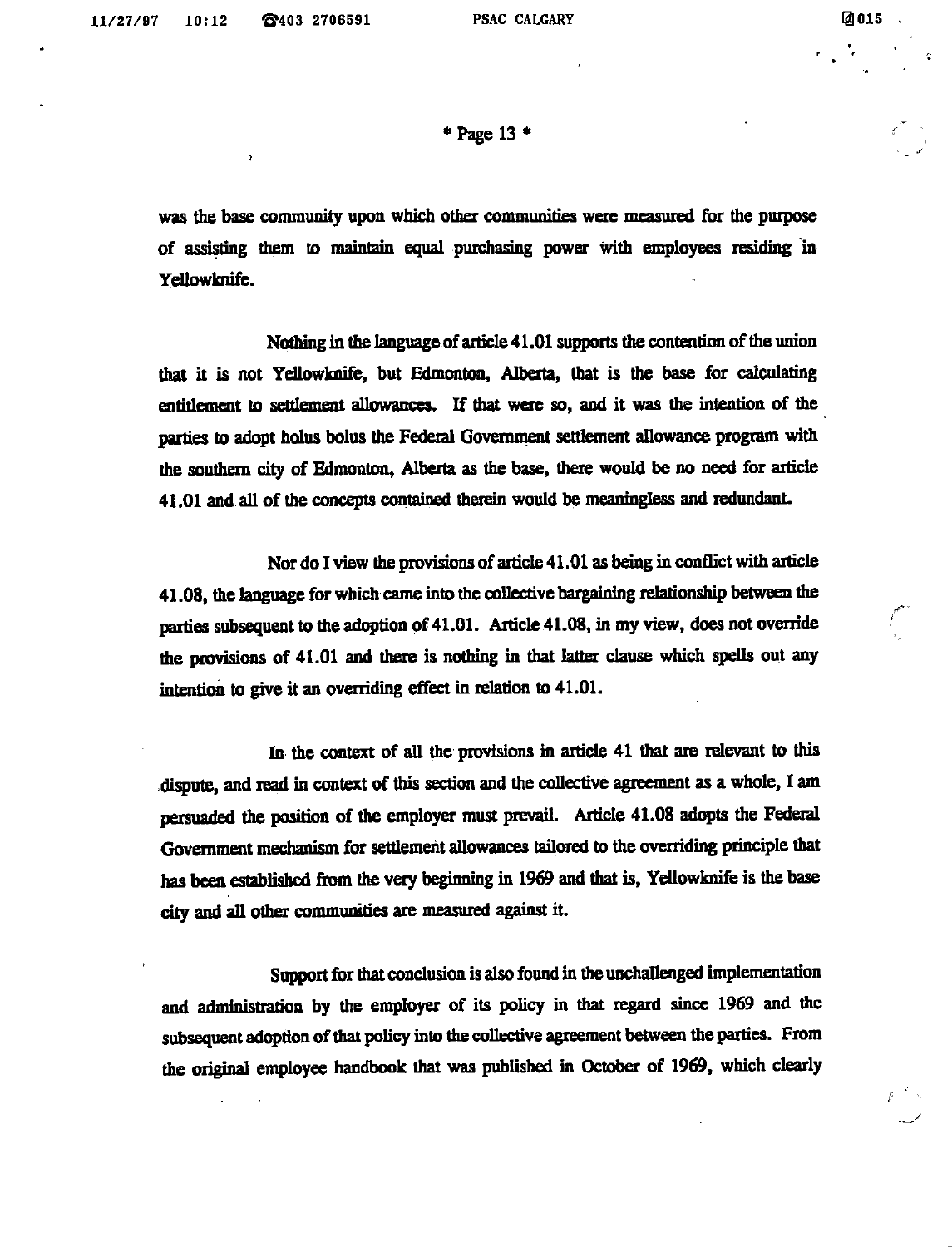$\gamma$ 

 $*$  Page 13  $*$ 

was the base community upon which other communities were measured for the purpose of assisting them to maintain equal purchasing power with employees residing in Yellowknife.

Nothing in the language of article 41.01 supports the contention of the union that it is not Yellowknife, but Edmonton, Alberta, that is the base for calculating entitlement to settlement allowances. If that were so, and it was the intention of the parties to adopt holus bolus the Federal Government settlement allowance program with the southern city of Edmonton, Alberta as the base, there would be no need for article 41.01 and all of the concepts contained therein would be meaningless and redundant

Nor do I view the provisions of article  $41.01$  as being in conflict with article 41.08, the language for which came into the collective bargaining relationship between the parties subsequent to the adoption of 41.01. Article 41.08, in my view, does not override the provisions of 41.01 and there is nothing in that latter clause which spells out any intention to give it an overriding effect in relation to 41.01.

In the context of all the provisions in article 41 that are relevant to this dispute, and read in context of this section and the collective agreement as a whole, I am persuaded the position of the employer must prevail. Article 41.08 adopts the Federal Government mechanism for settlement allowances tailored to the overriding principle that has been established from the very beginning in 1969 and that is, Yellowknife is the base city and all other communities are measured against it.

Support for that conclusion is also found in the unchallenged implementation and administration by the employer of its policy in that regard since 1969 and the subsequent adoption of that policy into the collective agreement between the parties. From the original employee handbook that was published in October of 1969, which clearly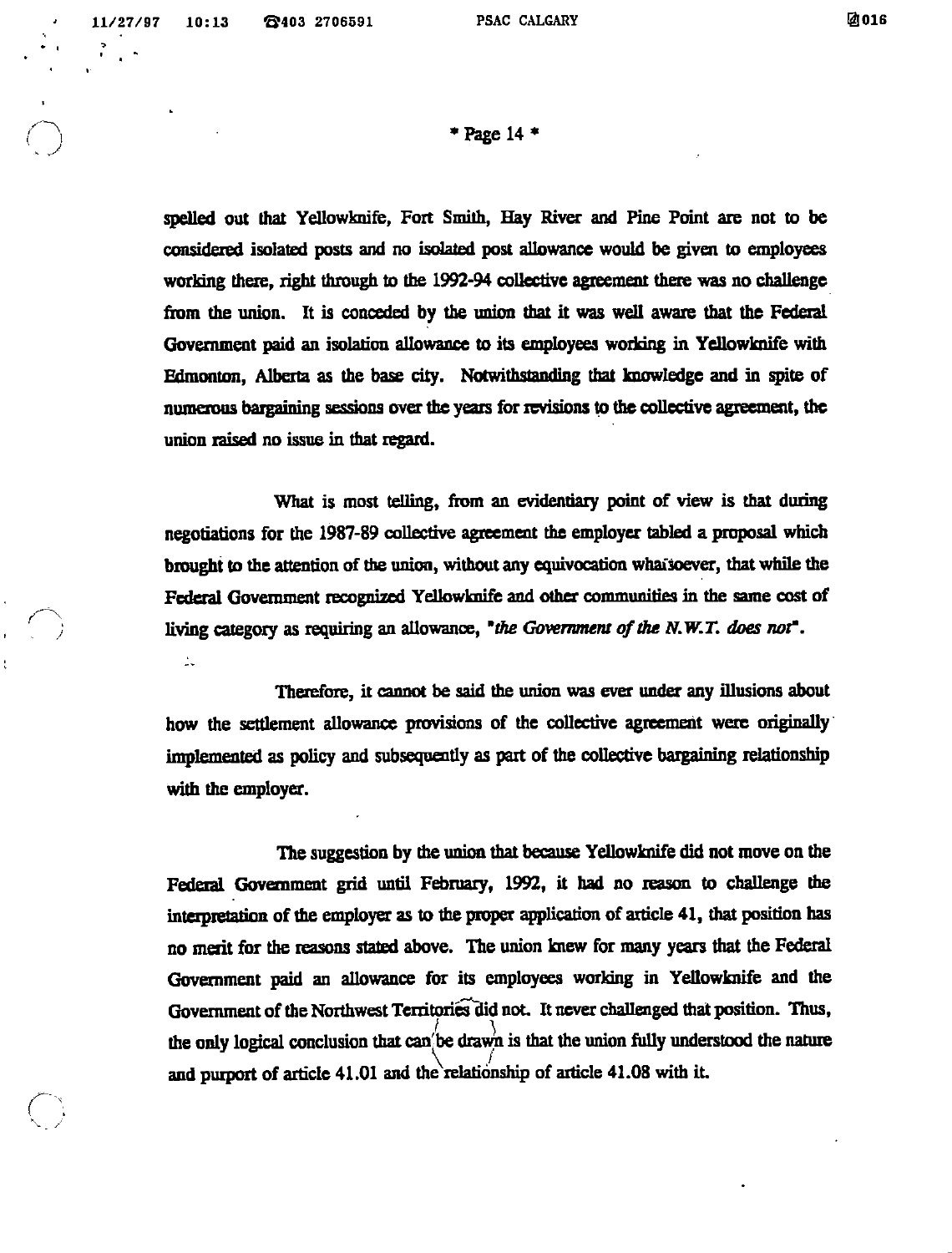ž,

 $*$  Page 14  $*$ 

spelled out that Yellowknife, Fort Smith, Hay River and Pine Point are not to be considered isolated posts and no isolated post allowance would be given to employees working there, right through to the 1992-94 collective agreement there was no challenge from the union. It is conceded by the union that it was well aware that the Federal Government paid an isolation allowance to its employees working in YeUowknife with Edmonton, Alberta as the base city. Notwithstanding that knowledge and in spite of numerous bargaining sessions over the years for revisions to the collective agreement, the union raised no issue in that regard.

What is most telling, from an evidentiary point of view is that during negotiations for the 1987-89 collective agreement the employer tabled a proposal which brought to the attention of the union, without any equivocation whaisoever, that while the Federal Government recognized YeUowknife and other communities in the samecost of living category as requiring an allowance, "the Government of the N.W.T. does not".

Therefore, it cannot be said the union was ever under any illusions about how the settlement allowance provisions of the collective agreement were originally implemented as policy and subsequently as part of the collective bargaining relationship with the employer.

The suggestion by the union that because Yellowknife did not move on the Federal Government grid until February, 1992, it had no reason to challenge the interpretation of the employer as to the proper application of article 41, that position has no merit for the reasons stated above. The union knew for many years that the Federal Government paid an allowance for its employees working in YeUowknife and the Government of the Northwest Territories did not. It never challenged that position. Thus, the only logical conclusion that can'be drawn is that the union fully understood the nature and purport of article 41.01 and the relationship of article 41.08 with it.